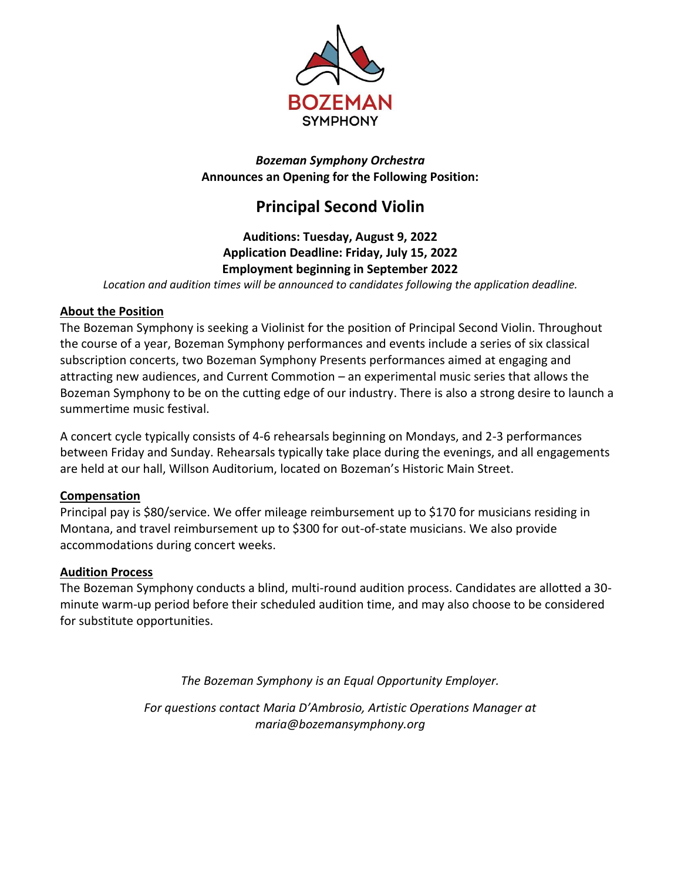

*Bozeman Symphony Orchestra* **Announces an Opening for the Following Position:**

# **Principal Second Violin**

### **Auditions: Tuesday, August 9, 2022 Application Deadline: Friday, July 15, 2022 Employment beginning in September 2022**

*Location and audition times will be announced to candidates following the application deadline.*

#### **About the Position**

The Bozeman Symphony is seeking a Violinist for the position of Principal Second Violin. Throughout the course of a year, Bozeman Symphony performances and events include a series of six classical subscription concerts, two Bozeman Symphony Presents performances aimed at engaging and attracting new audiences, and Current Commotion – an experimental music series that allows the Bozeman Symphony to be on the cutting edge of our industry. There is also a strong desire to launch a summertime music festival.

A concert cycle typically consists of 4-6 rehearsals beginning on Mondays, and 2-3 performances between Friday and Sunday. Rehearsals typically take place during the evenings, and all engagements are held at our hall, Willson Auditorium, located on Bozeman's Historic Main Street.

#### **Compensation**

Principal pay is \$80/service. We offer mileage reimbursement up to \$170 for musicians residing in Montana, and travel reimbursement up to \$300 for out-of-state musicians. We also provide accommodations during concert weeks.

#### **Audition Process**

The Bozeman Symphony conducts a blind, multi-round audition process. Candidates are allotted a 30 minute warm-up period before their scheduled audition time, and may also choose to be considered for substitute opportunities.

*The Bozeman Symphony is an Equal Opportunity Employer.*

*For questions contact Maria D'Ambrosio, Artistic Operations Manager at maria@bozemansymphony.org*